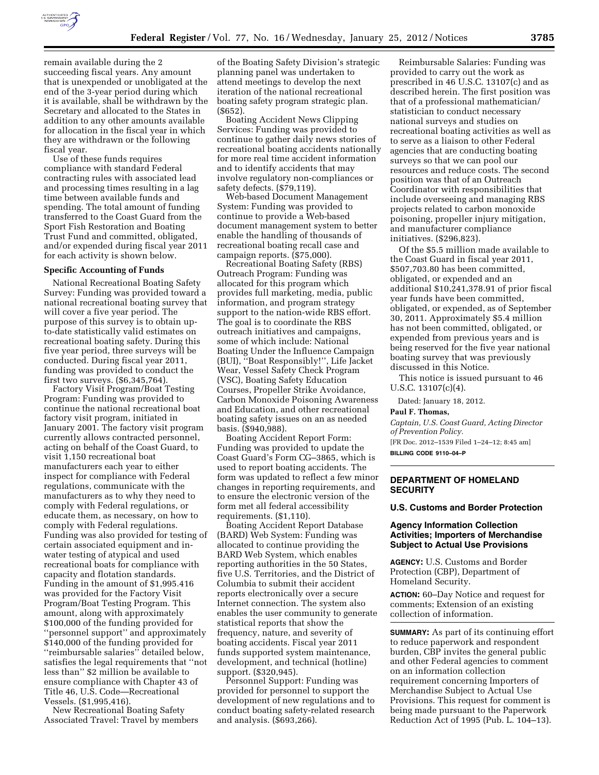

remain available during the 2 succeeding fiscal years. Any amount that is unexpended or unobligated at the end of the 3-year period during which it is available, shall be withdrawn by the Secretary and allocated to the States in addition to any other amounts available for allocation in the fiscal year in which they are withdrawn or the following fiscal year.

Use of these funds requires compliance with standard Federal contracting rules with associated lead and processing times resulting in a lag time between available funds and spending. The total amount of funding transferred to the Coast Guard from the Sport Fish Restoration and Boating Trust Fund and committed, obligated, and/or expended during fiscal year 2011 for each activity is shown below.

### **Specific Accounting of Funds**

National Recreational Boating Safety Survey: Funding was provided toward a national recreational boating survey that will cover a five year period. The purpose of this survey is to obtain upto-date statistically valid estimates on recreational boating safety. During this five year period, three surveys will be conducted. During fiscal year 2011, funding was provided to conduct the first two surveys. (\$6,345,764).

Factory Visit Program/Boat Testing Program: Funding was provided to continue the national recreational boat factory visit program, initiated in January 2001. The factory visit program currently allows contracted personnel, acting on behalf of the Coast Guard, to visit 1,150 recreational boat manufacturers each year to either inspect for compliance with Federal regulations, communicate with the manufacturers as to why they need to comply with Federal regulations, or educate them, as necessary, on how to comply with Federal regulations. Funding was also provided for testing of certain associated equipment and inwater testing of atypical and used recreational boats for compliance with capacity and flotation standards. Funding in the amount of \$1,995.416 was provided for the Factory Visit Program/Boat Testing Program. This amount, along with approximately \$100,000 of the funding provided for ''personnel support'' and approximately \$140,000 of the funding provided for ''reimbursable salaries'' detailed below, satisfies the legal requirements that ''not less than'' \$2 million be available to ensure compliance with Chapter 43 of Title 46, U.S. Code—Recreational Vessels. (\$1,995,416).

New Recreational Boating Safety Associated Travel: Travel by members

of the Boating Safety Division's strategic planning panel was undertaken to attend meetings to develop the next iteration of the national recreational boating safety program strategic plan. (\$652).

Boating Accident News Clipping Services: Funding was provided to continue to gather daily news stories of recreational boating accidents nationally for more real time accident information and to identify accidents that may involve regulatory non-compliances or safety defects. (\$79,119).

Web-based Document Management System: Funding was provided to continue to provide a Web-based document management system to better enable the handling of thousands of recreational boating recall case and campaign reports. (\$75,000).

Recreational Boating Safety (RBS) Outreach Program: Funding was allocated for this program which provides full marketing, media, public information, and program strategy support to the nation-wide RBS effort. The goal is to coordinate the RBS outreach initiatives and campaigns, some of which include: National Boating Under the Influence Campaign (BUI), ''Boat Responsibly!'', Life Jacket Wear, Vessel Safety Check Program (VSC), Boating Safety Education Courses, Propeller Strike Avoidance, Carbon Monoxide Poisoning Awareness and Education, and other recreational boating safety issues on an as needed basis. (\$940,988).

Boating Accident Report Form: Funding was provided to update the Coast Guard's Form CG–3865, which is used to report boating accidents. The form was updated to reflect a few minor changes in reporting requirements, and to ensure the electronic version of the form met all federal accessibility requirements. (\$1,110).

Boating Accident Report Database (BARD) Web System: Funding was allocated to continue providing the BARD Web System, which enables reporting authorities in the 50 States, five U.S. Territories, and the District of Columbia to submit their accident reports electronically over a secure Internet connection. The system also enables the user community to generate statistical reports that show the frequency, nature, and severity of boating accidents. Fiscal year 2011 funds supported system maintenance, development, and technical (hotline) support. (\$320,945).

Personnel Support: Funding was provided for personnel to support the development of new regulations and to conduct boating safety-related research and analysis. (\$693,266).

Reimbursable Salaries: Funding was provided to carry out the work as prescribed in 46 U.S.C. 13107(c) and as described herein. The first position was that of a professional mathematician/ statistician to conduct necessary national surveys and studies on recreational boating activities as well as to serve as a liaison to other Federal agencies that are conducting boating surveys so that we can pool our resources and reduce costs. The second position was that of an Outreach Coordinator with responsibilities that include overseeing and managing RBS projects related to carbon monoxide poisoning, propeller injury mitigation, and manufacturer compliance initiatives. (\$296,823).

Of the \$5.5 million made available to the Coast Guard in fiscal year 2011, \$507,703.80 has been committed, obligated, or expended and an additional \$10,241,378.91 of prior fiscal year funds have been committed, obligated, or expended, as of September 30, 2011. Approximately \$5.4 million has not been committed, obligated, or expended from previous years and is being reserved for the five year national boating survey that was previously discussed in this Notice.

This notice is issued pursuant to 46 U.S.C. 13107(c)(4).

Dated: January 18, 2012.

#### **Paul F. Thomas,**

*Captain, U.S. Coast Guard, Acting Director of Prevention Policy.*  [FR Doc. 2012–1539 Filed 1–24–12; 8:45 am] **BILLING CODE 9110–04–P** 

# **DEPARTMENT OF HOMELAND SECURITY**

#### **U.S. Customs and Border Protection**

# **Agency Information Collection Activities; Importers of Merchandise Subject to Actual Use Provisions**

**AGENCY:** U.S. Customs and Border Protection (CBP), Department of Homeland Security.

**ACTION:** 60–Day Notice and request for comments; Extension of an existing collection of information.

**SUMMARY:** As part of its continuing effort to reduce paperwork and respondent burden, CBP invites the general public and other Federal agencies to comment on an information collection requirement concerning Importers of Merchandise Subject to Actual Use Provisions. This request for comment is being made pursuant to the Paperwork Reduction Act of 1995 (Pub. L. 104–13).